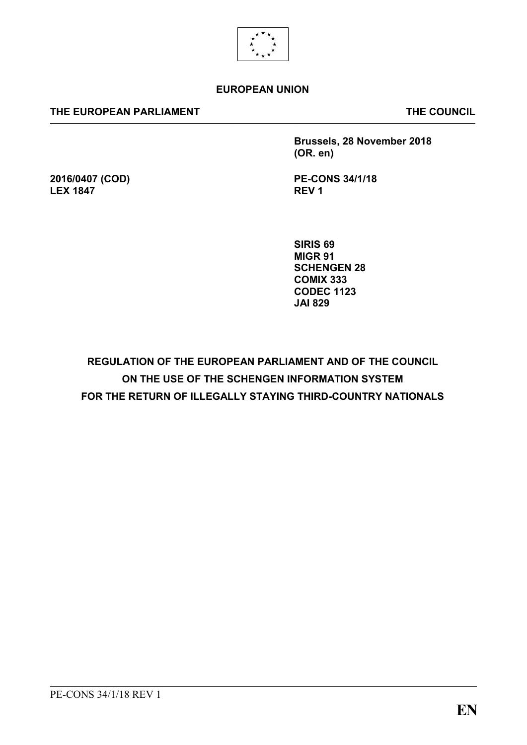

#### **EUROPEAN UNION**

#### **THE EUROPEAN PARLIAMENT THE COUNCIL**

**2016/0407 (COD)**

**LEX 1847**

**Brussels, 28 November 2018 (OR. en)**

**PE-CONS 34/1/18 REV 1**

**SIRIS 69 MIGR 91 SCHENGEN 28 COMIX 333 CODEC 1123 JAI 829**

**REGULATION OF THE EUROPEAN PARLIAMENT AND OF THE COUNCIL ON THE USE OF THE SCHENGEN INFORMATION SYSTEM FOR THE RETURN OF ILLEGALLY STAYING THIRD-COUNTRY NATIONALS**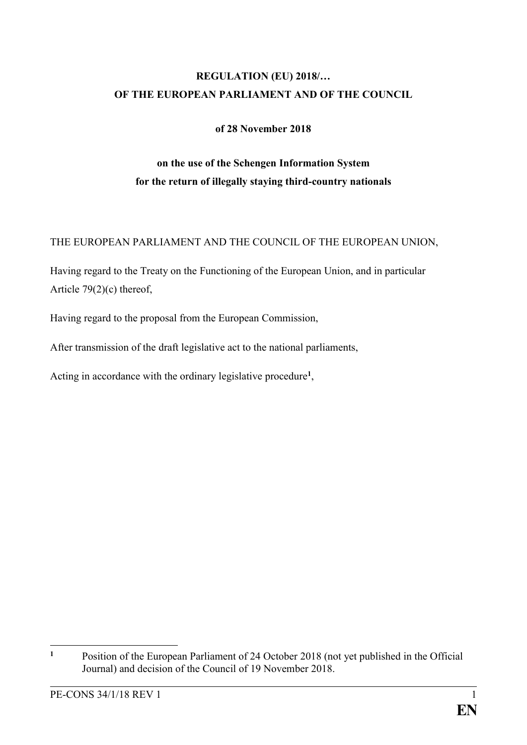# **REGULATION (EU) 2018/… OF THE EUROPEAN PARLIAMENT AND OF THE COUNCIL**

#### **of 28 November 2018**

# **on the use of the Schengen Information System for the return of illegally staying third-country nationals**

#### THE EUROPEAN PARLIAMENT AND THE COUNCIL OF THE EUROPEAN UNION,

Having regard to the Treaty on the Functioning of the European Union, and in particular Article 79(2)(c) thereof,

Having regard to the proposal from the European Commission,

After transmission of the draft legislative act to the national parliaments,

Acting in accordance with the ordinary legislative procedure**<sup>1</sup>** ,

 $\mathbf{1}$ **<sup>1</sup>** Position of the European Parliament of 24 October 2018 (not yet published in the Official Journal) and decision of the Council of 19 November 2018.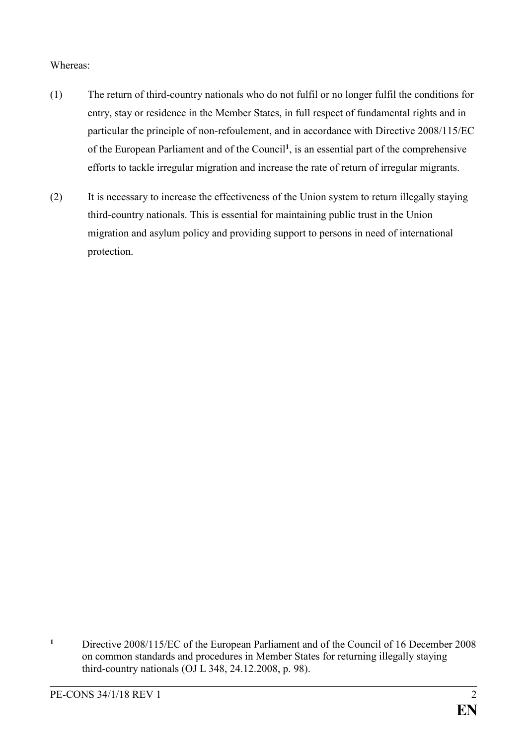#### Whereas:

- (1) The return of third-country nationals who do not fulfil or no longer fulfil the conditions for entry, stay or residence in the Member States, in full respect of fundamental rights and in particular the principle of non-refoulement, and in accordance with Directive 2008/115/EC of the European Parliament and of the Council**<sup>1</sup>** , is an essential part of the comprehensive efforts to tackle irregular migration and increase the rate of return of irregular migrants.
- (2) It is necessary to increase the effectiveness of the Union system to return illegally staying third-country nationals. This is essential for maintaining public trust in the Union migration and asylum policy and providing support to persons in need of international protection.

 $\mathbf{1}$ **<sup>1</sup>** Directive 2008/115/EC of the European Parliament and of the Council of 16 December 2008 on common standards and procedures in Member States for returning illegally staying third-country nationals (OJ L 348, 24.12.2008, p. 98).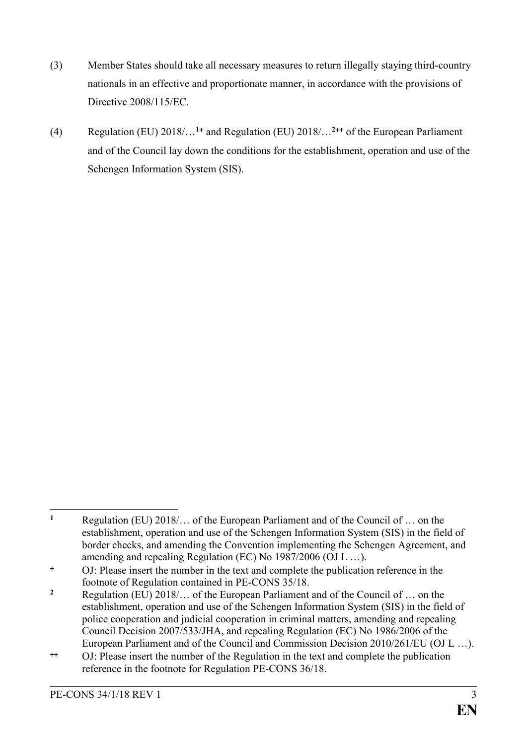- (3) Member States should take all necessary measures to return illegally staying third-country nationals in an effective and proportionate manner, in accordance with the provisions of Directive 2008/115/EC.
- (4) Regulation (EU)  $2018/\ldots^{1+}$  and Regulation (EU)  $2018/\ldots^{2+}$  of the European Parliament and of the Council lay down the conditions for the establishment, operation and use of the Schengen Information System (SIS).

<sup>&</sup>lt;u>.</u> **<sup>1</sup>** Regulation (EU) 2018/… of the European Parliament and of the Council of … on the establishment, operation and use of the Schengen Information System (SIS) in the field of border checks, and amending the Convention implementing the Schengen Agreement, and amending and repealing Regulation (EC) No 1987/2006 (OJ L …).

OJ: Please insert the number in the text and complete the publication reference in the footnote of Regulation contained in PE-CONS 35/18.

**<sup>2</sup>** Regulation (EU) 2018/… of the European Parliament and of the Council of … on the establishment, operation and use of the Schengen Information System (SIS) in the field of police cooperation and judicial cooperation in criminal matters, amending and repealing Council Decision 2007/533/JHA, and repealing Regulation (EC) No 1986/2006 of the European Parliament and of the Council and Commission Decision 2010/261/EU (OJ L …).

OJ: Please insert the number of the Regulation in the text and complete the publication reference in the footnote for Regulation PE-CONS 36/18.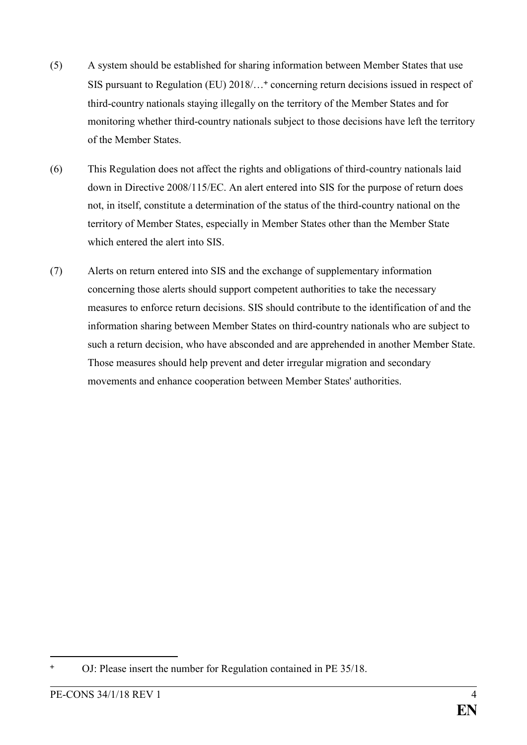- (5) A system should be established for sharing information between Member States that use SIS pursuant to Regulation (EU) 2018/...<sup>+</sup> concerning return decisions issued in respect of third-country nationals staying illegally on the territory of the Member States and for monitoring whether third-country nationals subject to those decisions have left the territory of the Member States.
- (6) This Regulation does not affect the rights and obligations of third-country nationals laid down in Directive 2008/115/EC. An alert entered into SIS for the purpose of return does not, in itself, constitute a determination of the status of the third-country national on the territory of Member States, especially in Member States other than the Member State which entered the alert into SIS
- (7) Alerts on return entered into SIS and the exchange of supplementary information concerning those alerts should support competent authorities to take the necessary measures to enforce return decisions. SIS should contribute to the identification of and the information sharing between Member States on third-country nationals who are subject to such a return decision, who have absconded and are apprehended in another Member State. Those measures should help prevent and deter irregular migration and secondary movements and enhance cooperation between Member States' authorities.

OJ: Please insert the number for Regulation contained in PE 35/18.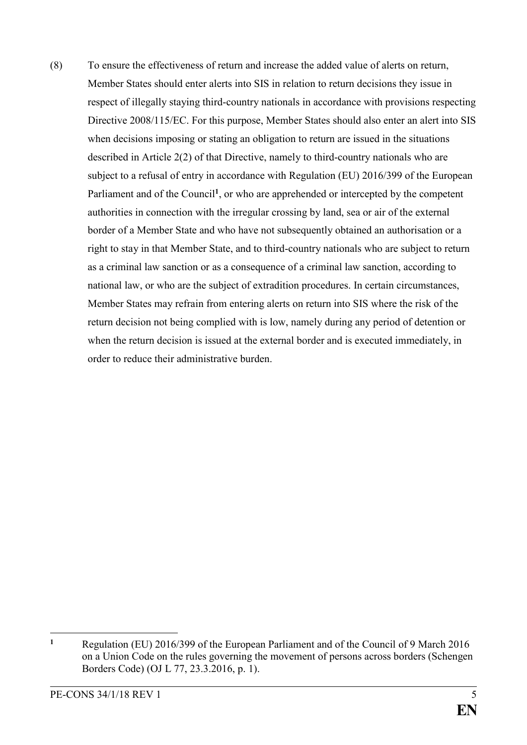(8) To ensure the effectiveness of return and increase the added value of alerts on return, Member States should enter alerts into SIS in relation to return decisions they issue in respect of illegally staying third-country nationals in accordance with provisions respecting Directive 2008/115/EC. For this purpose, Member States should also enter an alert into SIS when decisions imposing or stating an obligation to return are issued in the situations described in Article 2(2) of that Directive, namely to third-country nationals who are subject to a refusal of entry in accordance with Regulation (EU) 2016/399 of the European Parliament and of the Council<sup>1</sup>, or who are apprehended or intercepted by the competent authorities in connection with the irregular crossing by land, sea or air of the external border of a Member State and who have not subsequently obtained an authorisation or a right to stay in that Member State, and to third-country nationals who are subject to return as a criminal law sanction or as a consequence of a criminal law sanction, according to national law, or who are the subject of extradition procedures. In certain circumstances, Member States may refrain from entering alerts on return into SIS where the risk of the return decision not being complied with is low, namely during any period of detention or when the return decision is issued at the external border and is executed immediately, in order to reduce their administrative burden.

**<sup>1</sup>** Regulation (EU) 2016/399 of the European Parliament and of the Council of 9 March 2016 on a Union Code on the rules governing the movement of persons across borders (Schengen Borders Code) (OJ L 77, 23.3.2016, p. 1).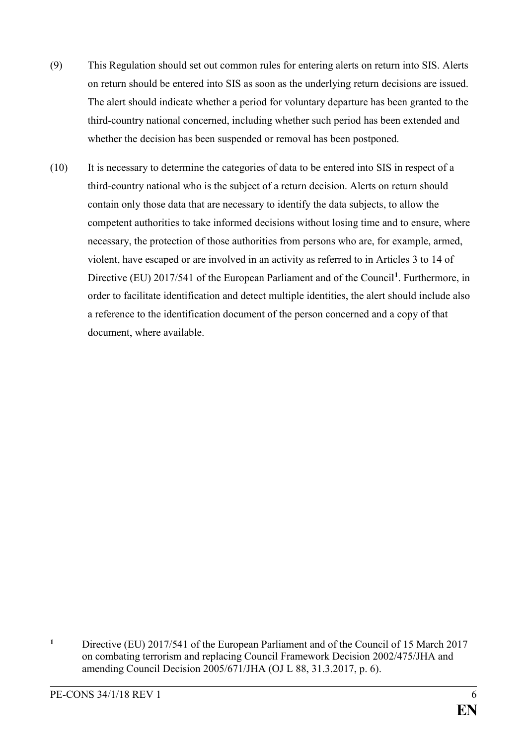- (9) This Regulation should set out common rules for entering alerts on return into SIS. Alerts on return should be entered into SIS as soon as the underlying return decisions are issued. The alert should indicate whether a period for voluntary departure has been granted to the third-country national concerned, including whether such period has been extended and whether the decision has been suspended or removal has been postponed.
- (10) It is necessary to determine the categories of data to be entered into SIS in respect of a third-country national who is the subject of a return decision. Alerts on return should contain only those data that are necessary to identify the data subjects, to allow the competent authorities to take informed decisions without losing time and to ensure, where necessary, the protection of those authorities from persons who are, for example, armed, violent, have escaped or are involved in an activity as referred to in Articles 3 to 14 of Directive (EU) 2017/541 of the European Parliament and of the Council**<sup>1</sup>** . Furthermore, in order to facilitate identification and detect multiple identities, the alert should include also a reference to the identification document of the person concerned and a copy of that document, where available.

**<sup>1</sup>** Directive (EU) 2017/541 of the European Parliament and of the Council of 15 March 2017 on combating terrorism and replacing Council Framework Decision 2002/475/JHA and amending Council Decision 2005/671/JHA (OJ L 88, 31.3.2017, p. 6).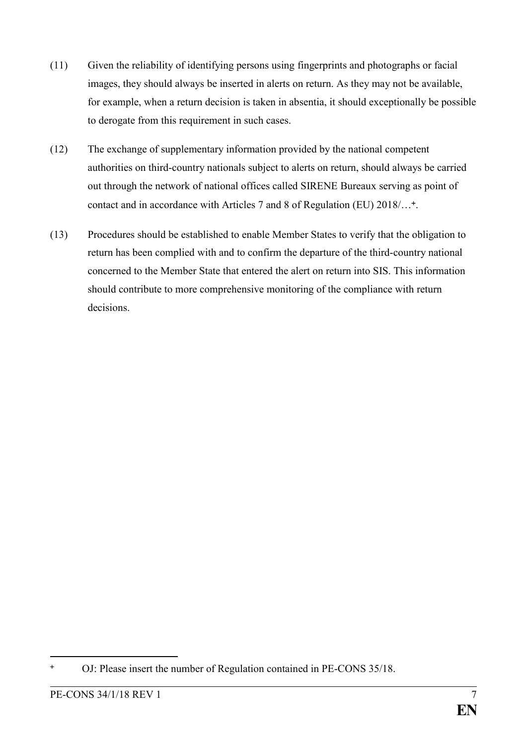- (11) Given the reliability of identifying persons using fingerprints and photographs or facial images, they should always be inserted in alerts on return. As they may not be available, for example, when a return decision is taken in absentia, it should exceptionally be possible to derogate from this requirement in such cases.
- (12) The exchange of supplementary information provided by the national competent authorities on third-country nationals subject to alerts on return, should always be carried out through the network of national offices called SIRENE Bureaux serving as point of contact and in accordance with Articles 7 and 8 of Regulation (EU) 2018/...<sup>+</sup>.
- (13) Procedures should be established to enable Member States to verify that the obligation to return has been complied with and to confirm the departure of the third-country national concerned to the Member State that entered the alert on return into SIS. This information should contribute to more comprehensive monitoring of the compliance with return decisions.

OJ: Please insert the number of Regulation contained in PE-CONS 35/18.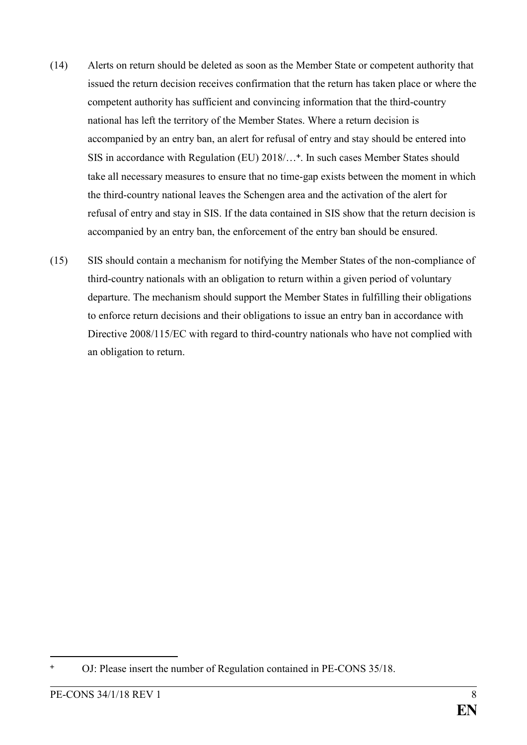- (14) Alerts on return should be deleted as soon as the Member State or competent authority that issued the return decision receives confirmation that the return has taken place or where the competent authority has sufficient and convincing information that the third-country national has left the territory of the Member States. Where a return decision is accompanied by an entry ban, an alert for refusal of entry and stay should be entered into SIS in accordance with Regulation (EU) 2018/… . In such cases Member States should take all necessary measures to ensure that no time-gap exists between the moment in which the third-country national leaves the Schengen area and the activation of the alert for refusal of entry and stay in SIS. If the data contained in SIS show that the return decision is accompanied by an entry ban, the enforcement of the entry ban should be ensured.
- (15) SIS should contain a mechanism for notifying the Member States of the non-compliance of third-country nationals with an obligation to return within a given period of voluntary departure. The mechanism should support the Member States in fulfilling their obligations to enforce return decisions and their obligations to issue an entry ban in accordance with Directive 2008/115/EC with regard to third-country nationals who have not complied with an obligation to return.

OJ: Please insert the number of Regulation contained in PE-CONS 35/18.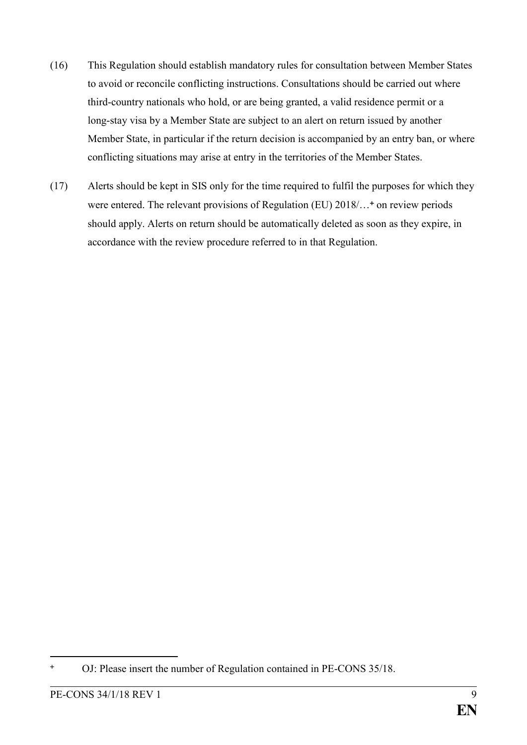- (16) This Regulation should establish mandatory rules for consultation between Member States to avoid or reconcile conflicting instructions. Consultations should be carried out where third-country nationals who hold, or are being granted, a valid residence permit or a long-stay visa by a Member State are subject to an alert on return issued by another Member State, in particular if the return decision is accompanied by an entry ban, or where conflicting situations may arise at entry in the territories of the Member States.
- (17) Alerts should be kept in SIS only for the time required to fulfil the purposes for which they were entered. The relevant provisions of Regulation (EU) 2018/...<sup>+</sup> on review periods should apply. Alerts on return should be automatically deleted as soon as they expire, in accordance with the review procedure referred to in that Regulation.

<sup>&</sup>lt;u>.</u> OJ: Please insert the number of Regulation contained in PE-CONS 35/18.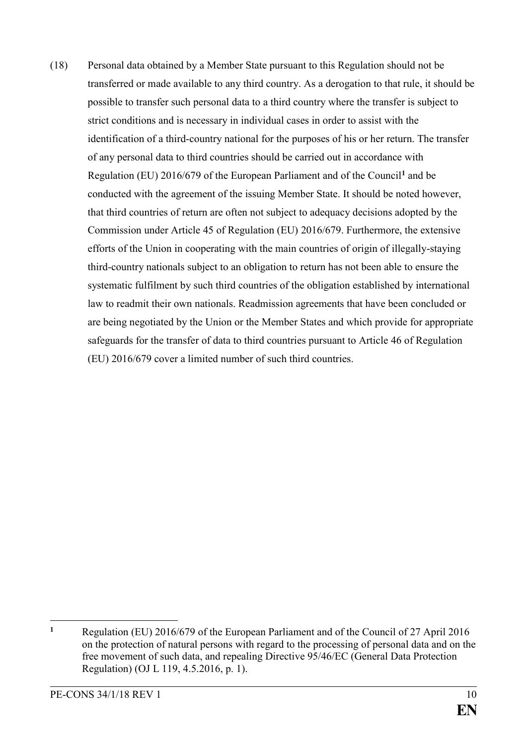(18) Personal data obtained by a Member State pursuant to this Regulation should not be transferred or made available to any third country. As a derogation to that rule, it should be possible to transfer such personal data to a third country where the transfer is subject to strict conditions and is necessary in individual cases in order to assist with the identification of a third-country national for the purposes of his or her return. The transfer of any personal data to third countries should be carried out in accordance with Regulation (EU) 2016/679 of the European Parliament and of the Council**<sup>1</sup>** and be conducted with the agreement of the issuing Member State. It should be noted however, that third countries of return are often not subject to adequacy decisions adopted by the Commission under Article 45 of Regulation (EU) 2016/679. Furthermore, the extensive efforts of the Union in cooperating with the main countries of origin of illegally-staying third-country nationals subject to an obligation to return has not been able to ensure the systematic fulfilment by such third countries of the obligation established by international law to readmit their own nationals. Readmission agreements that have been concluded or are being negotiated by the Union or the Member States and which provide for appropriate safeguards for the transfer of data to third countries pursuant to Article 46 of Regulation (EU) 2016/679 cover a limited number of such third countries.

<sup>1</sup> **<sup>1</sup>** Regulation (EU) 2016/679 of the European Parliament and of the Council of 27 April 2016 on the protection of natural persons with regard to the processing of personal data and on the free movement of such data, and repealing Directive 95/46/EC (General Data Protection Regulation) (OJ L 119, 4.5.2016, p. 1).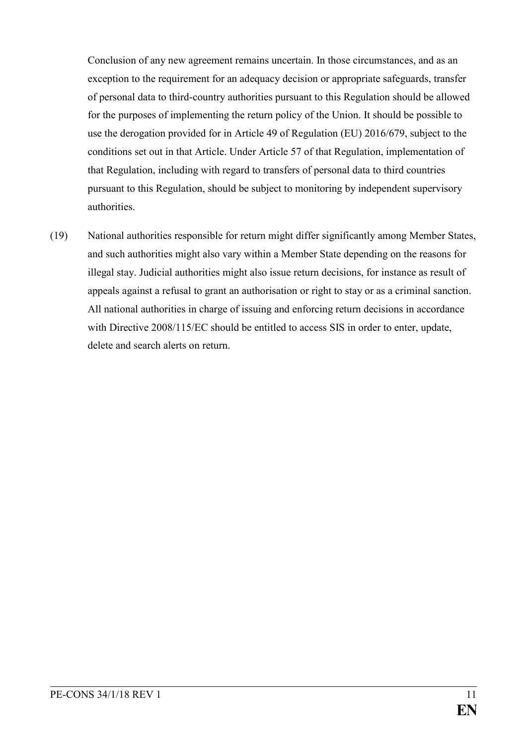Conclusion of any new agreement remains uncertain. In those circumstances, and as an exception to the requirement for an adequacy decision or appropriate safeguards, transfer of personal data to third-country authorities pursuant to this Regulation should be allowed for the purposes of implementing the return policy of the Union. It should be possible to use the derogation provided for in Article 49 of Regulation (EU) 2016/679, subject to the conditions set out in that Article. Under Article 57 of that Regulation, implementation of that Regulation, including with regard to transfers of personal data to third countries pursuant to this Regulation, should be subject to monitoring by independent supervisory authorities.

(19) National authorities responsible for return might differ significantly among Member States, and such authorities might also vary within a Member State depending on the reasons for illegal stay. Judicial authorities might also issue return decisions, for instance as result of appeals against a refusal to grant an authorisation or right to stay or as a criminal sanction. All national authorities in charge of issuing and enforcing return decisions in accordance with Directive 2008/115/EC should be entitled to access SIS in order to enter, update, delete and search alerts on return.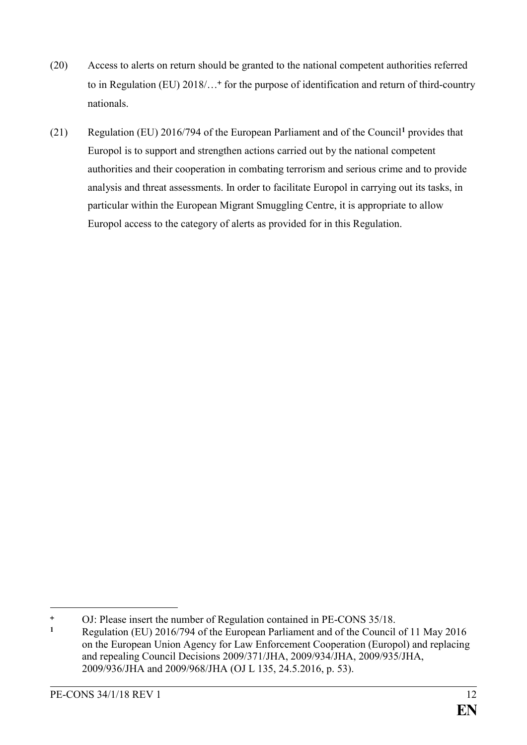- (20) Access to alerts on return should be granted to the national competent authorities referred to in Regulation (EU) 2018/...<sup>+</sup> for the purpose of identification and return of third-country nationals.
- (21) Regulation (EU) 2016/794 of the European Parliament and of the Council**<sup>1</sup>** provides that Europol is to support and strengthen actions carried out by the national competent authorities and their cooperation in combating terrorism and serious crime and to provide analysis and threat assessments. In order to facilitate Europol in carrying out its tasks, in particular within the European Migrant Smuggling Centre, it is appropriate to allow Europol access to the category of alerts as provided for in this Regulation.

1

<sup>&</sup>lt;sup>+</sup> OJ: Please insert the number of Regulation contained in PE-CONS 35/18.

**<sup>1</sup>** Regulation (EU) 2016/794 of the European Parliament and of the Council of 11 May 2016 on the European Union Agency for Law Enforcement Cooperation (Europol) and replacing and repealing Council Decisions 2009/371/JHA, 2009/934/JHA, 2009/935/JHA, 2009/936/JHA and 2009/968/JHA (OJ L 135, 24.5.2016, p. 53).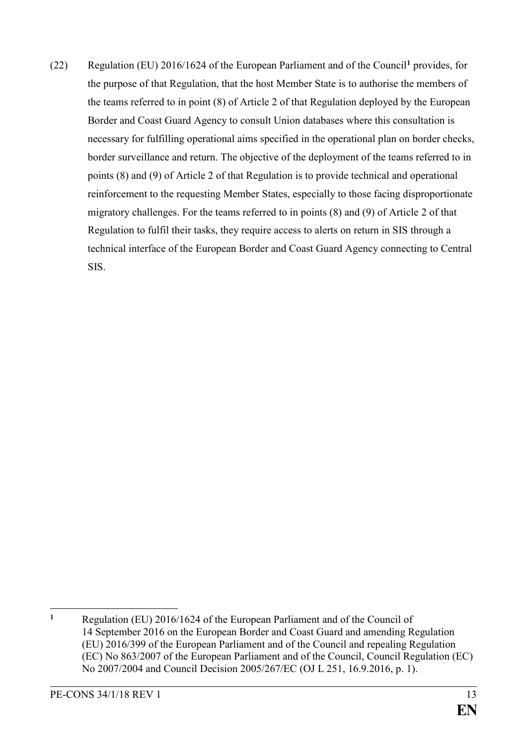(22) Regulation (EU) 2016/1624 of the European Parliament and of the Council**<sup>1</sup>** provides, for the purpose of that Regulation, that the host Member State is to authorise the members of the teams referred to in point (8) of Article 2 of that Regulation deployed by the European Border and Coast Guard Agency to consult Union databases where this consultation is necessary for fulfilling operational aims specified in the operational plan on border checks, border surveillance and return. The objective of the deployment of the teams referred to in points (8) and (9) of Article 2 of that Regulation is to provide technical and operational reinforcement to the requesting Member States, especially to those facing disproportionate migratory challenges. For the teams referred to in points (8) and (9) of Article 2 of that Regulation to fulfil their tasks, they require access to alerts on return in SIS through a technical interface of the European Border and Coast Guard Agency connecting to Central SIS.

 $\mathbf{1}$ **<sup>1</sup>** Regulation (EU) 2016/1624 of the European Parliament and of the Council of 14 September 2016 on the European Border and Coast Guard and amending Regulation (EU) 2016/399 of the European Parliament and of the Council and repealing Regulation (EC) No 863/2007 of the European Parliament and of the Council, Council Regulation (EC) No 2007/2004 and Council Decision 2005/267/EC (OJ L 251, 16.9.2016, p. 1).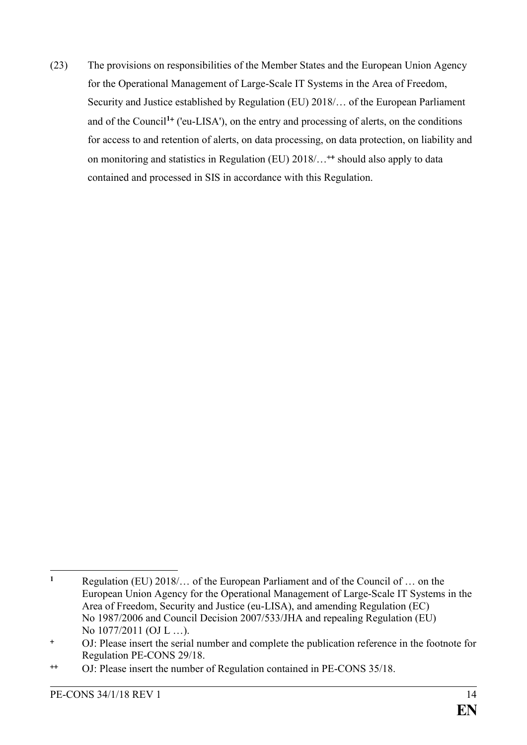(23) The provisions on responsibilities of the Member States and the European Union Agency for the Operational Management of Large-Scale IT Systems in the Area of Freedom, Security and Justice established by Regulation (EU) 2018/… of the European Parliament and of the Council**<sup>1</sup>** ('eu-LISA'), on the entry and processing of alerts, on the conditions for access to and retention of alerts, on data processing, on data protection, on liability and on monitoring and statistics in Regulation (EU) 2018/… should also apply to data contained and processed in SIS in accordance with this Regulation.

 $\mathbf{1}$ **<sup>1</sup>** Regulation (EU) 2018/… of the European Parliament and of the Council of … on the European Union Agency for the Operational Management of Large-Scale IT Systems in the Area of Freedom, Security and Justice (eu-LISA), and amending Regulation (EC) No 1987/2006 and Council Decision 2007/533/JHA and repealing Regulation (EU) No 1077/2011 (OJ L …).

OJ: Please insert the serial number and complete the publication reference in the footnote for Regulation PE-CONS 29/18.

OJ: Please insert the number of Regulation contained in PE-CONS 35/18.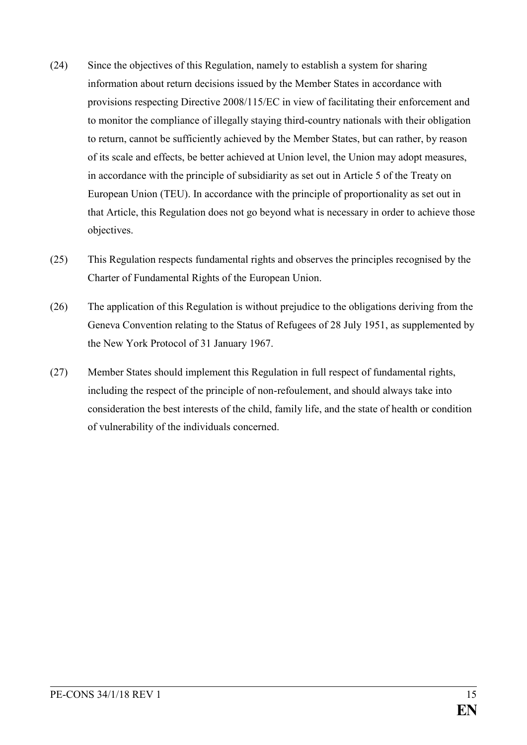- (24) Since the objectives of this Regulation, namely to establish a system for sharing information about return decisions issued by the Member States in accordance with provisions respecting Directive 2008/115/EC in view of facilitating their enforcement and to monitor the compliance of illegally staying third-country nationals with their obligation to return, cannot be sufficiently achieved by the Member States, but can rather, by reason of its scale and effects, be better achieved at Union level, the Union may adopt measures, in accordance with the principle of subsidiarity as set out in Article 5 of the Treaty on European Union (TEU). In accordance with the principle of proportionality as set out in that Article, this Regulation does not go beyond what is necessary in order to achieve those objectives.
- (25) This Regulation respects fundamental rights and observes the principles recognised by the Charter of Fundamental Rights of the European Union.
- (26) The application of this Regulation is without prejudice to the obligations deriving from the Geneva Convention relating to the Status of Refugees of 28 July 1951, as supplemented by the New York Protocol of 31 January 1967.
- (27) Member States should implement this Regulation in full respect of fundamental rights, including the respect of the principle of non-refoulement, and should always take into consideration the best interests of the child, family life, and the state of health or condition of vulnerability of the individuals concerned.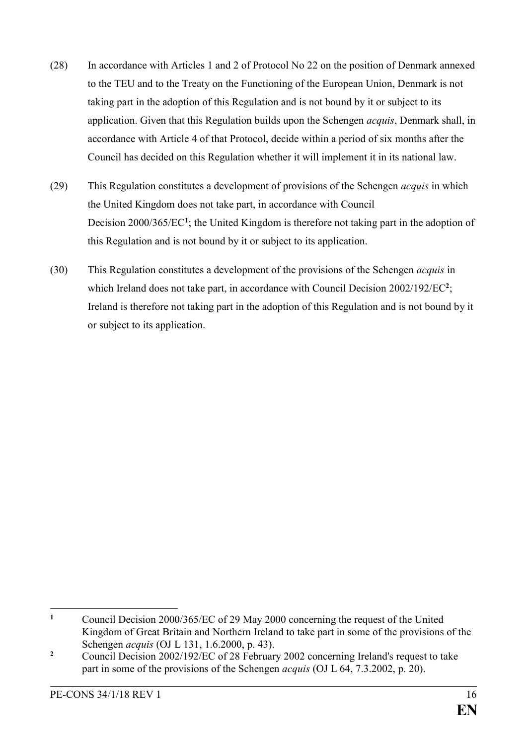- (28) In accordance with Articles 1 and 2 of Protocol No 22 on the position of Denmark annexed to the TEU and to the Treaty on the Functioning of the European Union, Denmark is not taking part in the adoption of this Regulation and is not bound by it or subject to its application. Given that this Regulation builds upon the Schengen *acquis*, Denmark shall, in accordance with Article 4 of that Protocol, decide within a period of six months after the Council has decided on this Regulation whether it will implement it in its national law.
- (29) This Regulation constitutes a development of provisions of the Schengen *acquis* in which the United Kingdom does not take part, in accordance with Council Decision 2000/365/EC<sup>1</sup>; the United Kingdom is therefore not taking part in the adoption of this Regulation and is not bound by it or subject to its application.
- (30) This Regulation constitutes a development of the provisions of the Schengen *acquis* in which Ireland does not take part, in accordance with Council Decision 2002/192/EC<sup>2</sup>; Ireland is therefore not taking part in the adoption of this Regulation and is not bound by it or subject to its application.

 $\mathbf{1}$ **<sup>1</sup>** Council Decision 2000/365/EC of 29 May 2000 concerning the request of the United Kingdom of Great Britain and Northern Ireland to take part in some of the provisions of the Schengen *acquis* (OJ L 131, 1.6.2000, p. 43).

<sup>&</sup>lt;sup>2</sup> Council Decision 2002/192/EC of 28 February 2002 concerning Ireland's request to take part in some of the provisions of the Schengen *acquis* (OJ L 64, 7.3.2002, p. 20).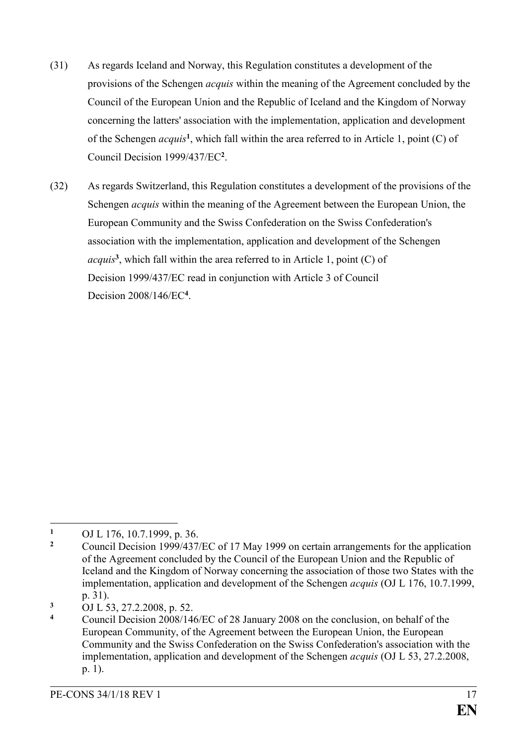- (31) As regards Iceland and Norway, this Regulation constitutes a development of the provisions of the Schengen *acquis* within the meaning of the Agreement concluded by the Council of the European Union and the Republic of Iceland and the Kingdom of Norway concerning the latters' association with the implementation, application and development of the Schengen *acquis***<sup>1</sup>** , which fall within the area referred to in Article 1, point (C) of Council Decision 1999/437/EC**<sup>2</sup>** .
- (32) As regards Switzerland, this Regulation constitutes a development of the provisions of the Schengen *acquis* within the meaning of the Agreement between the European Union, the European Community and the Swiss Confederation on the Swiss Confederation's association with the implementation, application and development of the Schengen *acquis***<sup>3</sup>** , which fall within the area referred to in Article 1, point (C) of Decision 1999/437/EC read in conjunction with Article 3 of Council Decision 2008/146/EC**<sup>4</sup>** .

<sup>1</sup> 1 OJ L 176, 10.7.1999, p. 36.

**<sup>2</sup>** Council Decision 1999/437/EC of 17 May 1999 on certain arrangements for the application of the Agreement concluded by the Council of the European Union and the Republic of Iceland and the Kingdom of Norway concerning the association of those two States with the implementation, application and development of the Schengen *acquis* (OJ L 176, 10.7.1999, p. 31).

**<sup>3</sup>** OJ L 53, 27.2.2008, p. 52.

**<sup>4</sup>** Council Decision 2008/146/EC of 28 January 2008 on the conclusion, on behalf of the European Community, of the Agreement between the European Union, the European Community and the Swiss Confederation on the Swiss Confederation's association with the implementation, application and development of the Schengen *acquis* (OJ L 53, 27.2.2008, p. 1).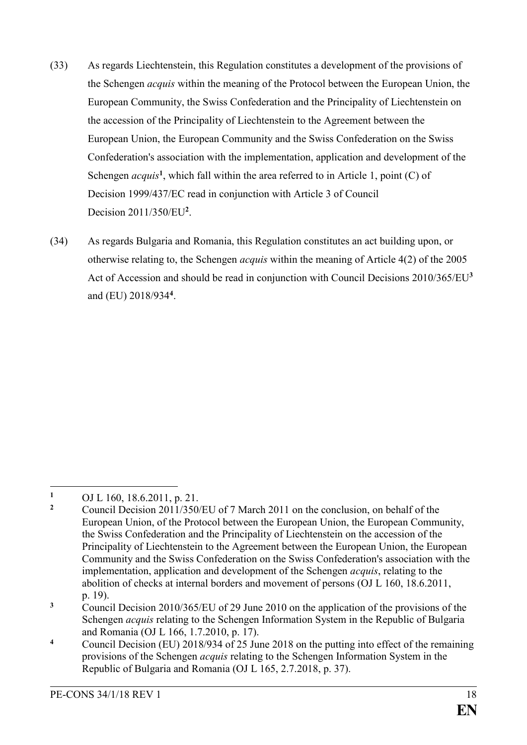- (33) As regards Liechtenstein, this Regulation constitutes a development of the provisions of the Schengen *acquis* within the meaning of the Protocol between the European Union, the European Community, the Swiss Confederation and the Principality of Liechtenstein on the accession of the Principality of Liechtenstein to the Agreement between the European Union, the European Community and the Swiss Confederation on the Swiss Confederation's association with the implementation, application and development of the Schengen *acquis*<sup>1</sup>, which fall within the area referred to in Article 1, point (C) of Decision 1999/437/EC read in conjunction with Article 3 of Council Decision 2011/350/EU**<sup>2</sup>** .
- (34) As regards Bulgaria and Romania, this Regulation constitutes an act building upon, or otherwise relating to, the Schengen *acquis* within the meaning of Article 4(2) of the 2005 Act of Accession and should be read in conjunction with Council Decisions 2010/365/EU**<sup>3</sup>** and (EU) 2018/934**<sup>4</sup>** .

<sup>1</sup> 1 OJ L 160, 18.6.2011, p. 21.<br>2 Council Decision 2011/250

**<sup>2</sup>** Council Decision 2011/350/EU of 7 March 2011 on the conclusion, on behalf of the European Union, of the Protocol between the European Union, the European Community, the Swiss Confederation and the Principality of Liechtenstein on the accession of the Principality of Liechtenstein to the Agreement between the European Union, the European Community and the Swiss Confederation on the Swiss Confederation's association with the implementation, application and development of the Schengen *acquis*, relating to the abolition of checks at internal borders and movement of persons (OJ L 160, 18.6.2011, p. 19).

**<sup>3</sup>** Council Decision 2010/365/EU of 29 June 2010 on the application of the provisions of the Schengen *acquis* relating to the Schengen Information System in the Republic of Bulgaria and Romania (OJ L 166, 1.7.2010, p. 17).

**<sup>4</sup>** Council Decision (EU) 2018/934 of 25 June 2018 on the putting into effect of the remaining provisions of the Schengen *acquis* relating to the Schengen Information System in the Republic of Bulgaria and Romania (OJ L 165, 2.7.2018, p. 37).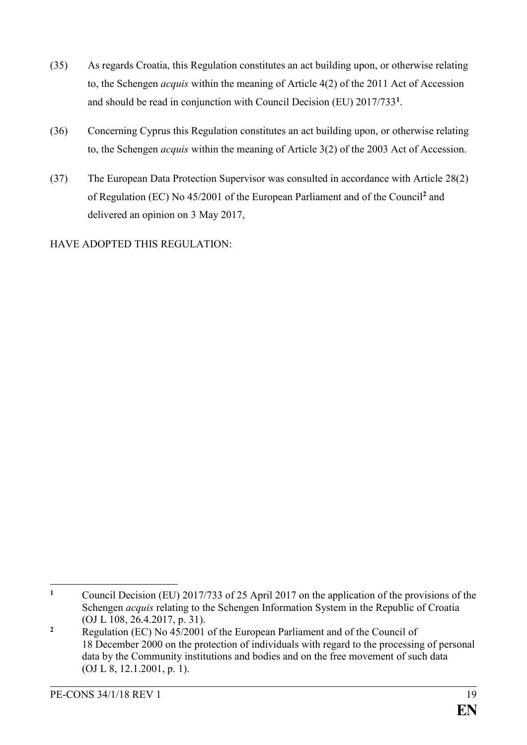- (35) As regards Croatia, this Regulation constitutes an act building upon, or otherwise relating to, the Schengen *acquis* within the meaning of Article 4(2) of the 2011 Act of Accession and should be read in conjunction with Council Decision (EU) 2017/733**<sup>1</sup>** .
- (36) Concerning Cyprus this Regulation constitutes an act building upon, or otherwise relating to, the Schengen *acquis* within the meaning of Article 3(2) of the 2003 Act of Accession.
- (37) The European Data Protection Supervisor was consulted in accordance with Article 28(2) of Regulation (EC) No 45/2001 of the European Parliament and of the Council**<sup>2</sup>** and delivered an opinion on 3 May 2017,

HAVE ADOPTED THIS REGULATION:

 $\mathbf{1}$ **<sup>1</sup>** Council Decision (EU) 2017/733 of 25 April 2017 on the application of the provisions of the Schengen *acquis* relating to the Schengen Information System in the Republic of Croatia (OJ L 108, 26.4.2017, p. 31).

**<sup>2</sup>** Regulation (EC) No 45/2001 of the European Parliament and of the Council of 18 December 2000 on the protection of individuals with regard to the processing of personal data by the Community institutions and bodies and on the free movement of such data (OJ L 8, 12.1.2001, p. 1).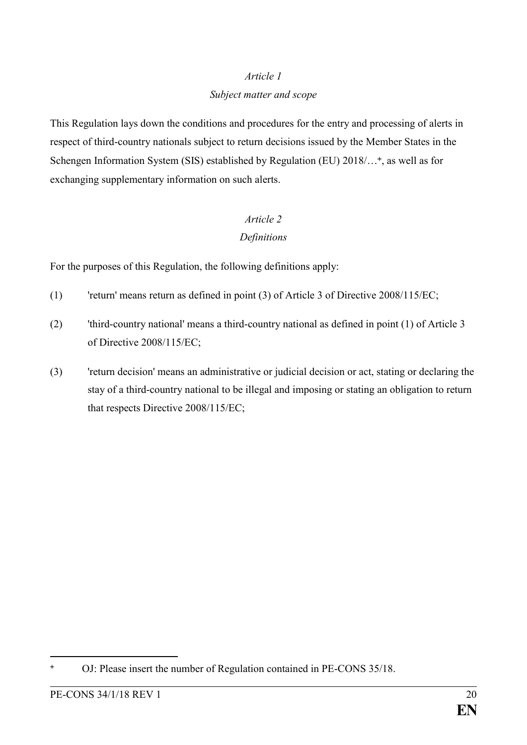#### *Subject matter and scope*

This Regulation lays down the conditions and procedures for the entry and processing of alerts in respect of third-country nationals subject to return decisions issued by the Member States in the Schengen Information System (SIS) established by Regulation (EU) 2018/...<sup>+</sup>, as well as for exchanging supplementary information on such alerts.

# *Article 2*

#### *Definitions*

For the purposes of this Regulation, the following definitions apply:

- (1) 'return' means return as defined in point (3) of Article 3 of Directive 2008/115/EC;
- (2) 'third-country national' means a third-country national as defined in point (1) of Article 3 of Directive 2008/115/EC;
- (3) 'return decision' means an administrative or judicial decision or act, stating or declaring the stay of a third-country national to be illegal and imposing or stating an obligation to return that respects Directive 2008/115/EC;

OJ: Please insert the number of Regulation contained in PE-CONS 35/18.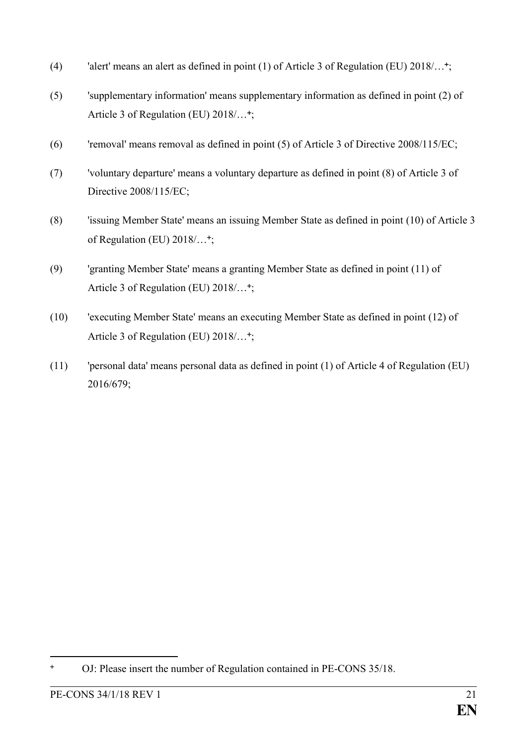- (4) 'alert' means an alert as defined in point (1) of Article 3 of Regulation (EU)  $2018/\ldots$ <sup>+</sup>;
- (5) 'supplementary information' means supplementary information as defined in point (2) of Article 3 of Regulation (EU) 2018/...<sup>+</sup>;
- (6) 'removal' means removal as defined in point (5) of Article 3 of Directive 2008/115/EC;
- (7) 'voluntary departure' means a voluntary departure as defined in point (8) of Article 3 of Directive 2008/115/EC;
- (8) 'issuing Member State' means an issuing Member State as defined in point (10) of Article 3 of Regulation (EU) 2018/...<sup>+</sup>;
- (9) 'granting Member State' means a granting Member State as defined in point (11) of Article 3 of Regulation (EU) 2018/...<sup>+</sup>;
- (10) 'executing Member State' means an executing Member State as defined in point (12) of Article 3 of Regulation (EU) 2018/...<sup>+</sup>;
- (11) 'personal data' means personal data as defined in point (1) of Article 4 of Regulation (EU) 2016/679;

OJ: Please insert the number of Regulation contained in PE-CONS 35/18.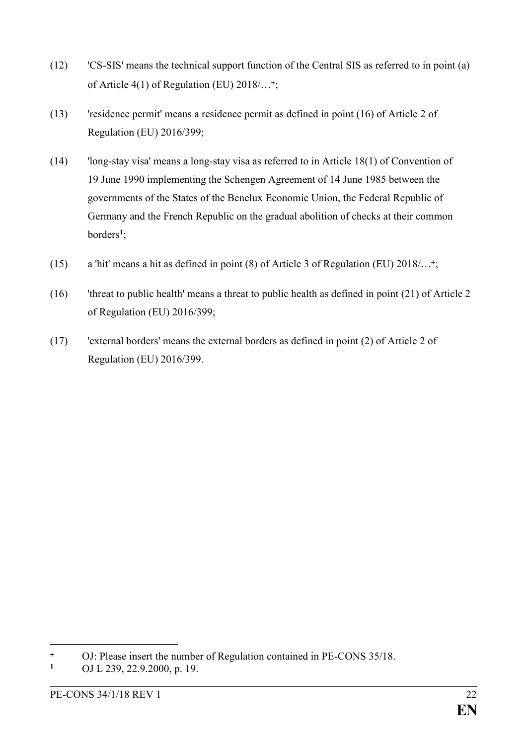- (12) 'CS-SIS' means the technical support function of the Central SIS as referred to in point (a) of Article 4(1) of Regulation (EU) 2018/...<sup>+</sup>;
- (13) 'residence permit' means a residence permit as defined in point (16) of Article 2 of Regulation (EU) 2016/399;
- (14) 'long-stay visa' means a long-stay visa as referred to in Article 18(1) of Convention of 19 June 1990 implementing the Schengen Agreement of 14 June 1985 between the governments of the States of the Benelux Economic Union, the Federal Republic of Germany and the French Republic on the gradual abolition of checks at their common borders**<sup>1</sup>** ;
- (15) a 'hit' means a hit as defined in point (8) of Article 3 of Regulation (EU) 2018/… ;
- (16) 'threat to public health' means a threat to public health as defined in point (21) of Article 2 of Regulation (EU) 2016/399;
- (17) 'external borders' means the external borders as defined in point (2) of Article 2 of Regulation (EU) 2016/399.

1

<sup>&</sup>lt;sup>+</sup> OJ: Please insert the number of Regulation contained in PE-CONS 35/18.<br><sup>1</sup> OJJ 239 22 9 2000 n 19

**<sup>1</sup>** [OJ L 239, 22.9.2000, p. 19.](http://eur-lex.europa.eu/legal-content/EN/AUTO/?uri=OJ:L:2000:239R:TOC)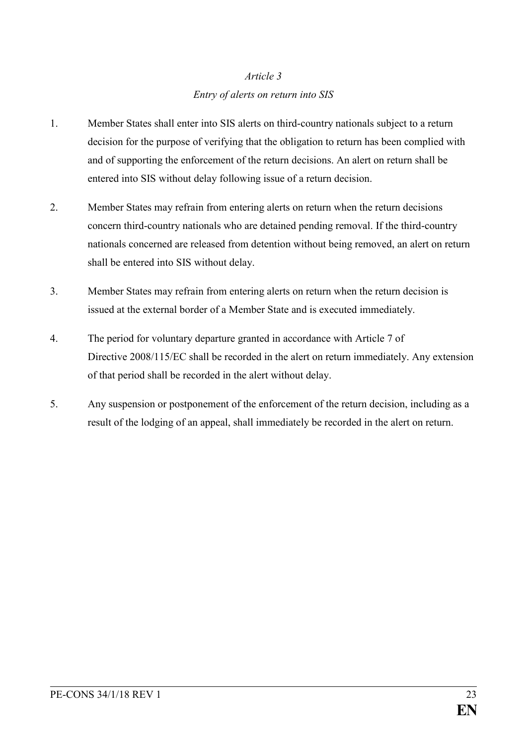# *Article 3 Entry of alerts on return into SIS*

- 1. Member States shall enter into SIS alerts on third-country nationals subject to a return decision for the purpose of verifying that the obligation to return has been complied with and of supporting the enforcement of the return decisions. An alert on return shall be entered into SIS without delay following issue of a return decision.
- 2. Member States may refrain from entering alerts on return when the return decisions concern third-country nationals who are detained pending removal. If the third-country nationals concerned are released from detention without being removed, an alert on return shall be entered into SIS without delay.
- 3. Member States may refrain from entering alerts on return when the return decision is issued at the external border of a Member State and is executed immediately.
- 4. The period for voluntary departure granted in accordance with Article 7 of Directive 2008/115/EC shall be recorded in the alert on return immediately. Any extension of that period shall be recorded in the alert without delay.
- 5. Any suspension or postponement of the enforcement of the return decision, including as a result of the lodging of an appeal, shall immediately be recorded in the alert on return.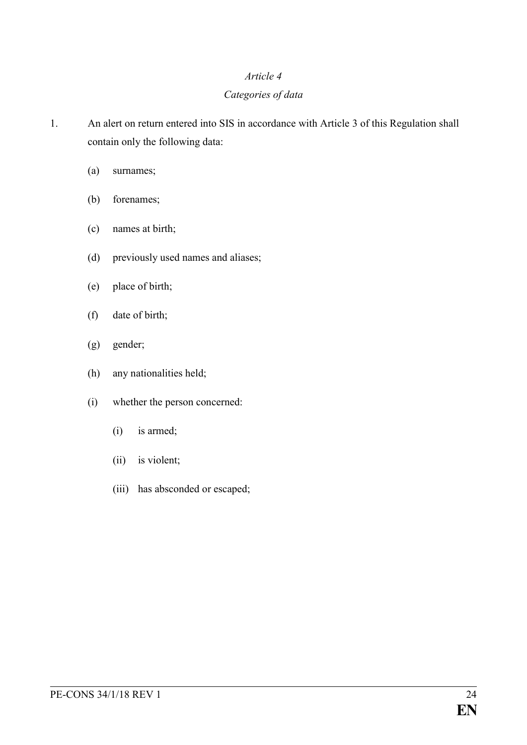#### *Categories of data*

1. An alert on return entered into SIS in accordance with Article 3 of this Regulation shall contain only the following data:

- (a) surnames;
- (b) forenames;
- (c) names at birth;
- (d) previously used names and aliases;
- (e) place of birth;
- (f) date of birth;
- (g) gender;
- (h) any nationalities held;
- (i) whether the person concerned:
	- (i) is armed;
	- (ii) is violent;
	- (iii) has absconded or escaped;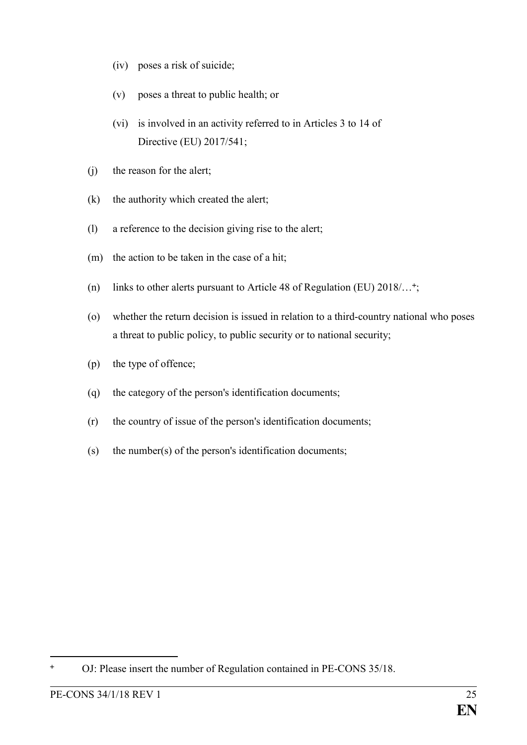- (iv) poses a risk of suicide;
- (v) poses a threat to public health; or
- (vi) is involved in an activity referred to in Articles 3 to 14 of Directive (EU) 2017/541;
- (j) the reason for the alert;
- (k) the authority which created the alert;
- (l) a reference to the decision giving rise to the alert;
- (m) the action to be taken in the case of a hit;
- (n) links to other alerts pursuant to Article 48 of Regulation (EU) 2018/… ;
- (o) whether the return decision is issued in relation to a third-country national who poses a threat to public policy, to public security or to national security;
- (p) the type of offence;
- (q) the category of the person's identification documents;
- (r) the country of issue of the person's identification documents;
- (s) the number(s) of the person's identification documents;

OJ: Please insert the number of Regulation contained in PE-CONS 35/18.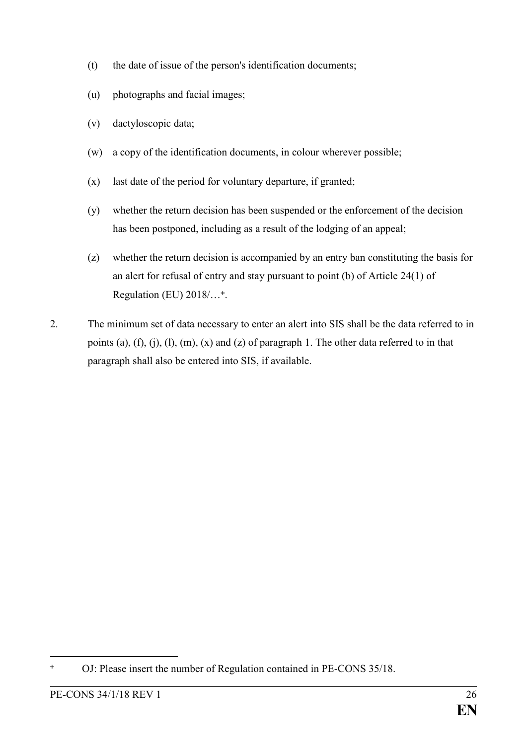- (t) the date of issue of the person's identification documents;
- (u) photographs and facial images;
- (v) dactyloscopic data;
- (w) a copy of the identification documents, in colour wherever possible;
- (x) last date of the period for voluntary departure, if granted;
- (y) whether the return decision has been suspended or the enforcement of the decision has been postponed, including as a result of the lodging of an appeal;
- (z) whether the return decision is accompanied by an entry ban constituting the basis for an alert for refusal of entry and stay pursuant to point (b) of Article 24(1) of Regulation (EU) 2018/...<sup>+</sup>.
- 2. The minimum set of data necessary to enter an alert into SIS shall be the data referred to in points (a), (f), (j), (l), (m), (x) and (z) of paragraph 1. The other data referred to in that paragraph shall also be entered into SIS, if available.

<sup>&</sup>lt;u>.</u> OJ: Please insert the number of Regulation contained in PE-CONS 35/18.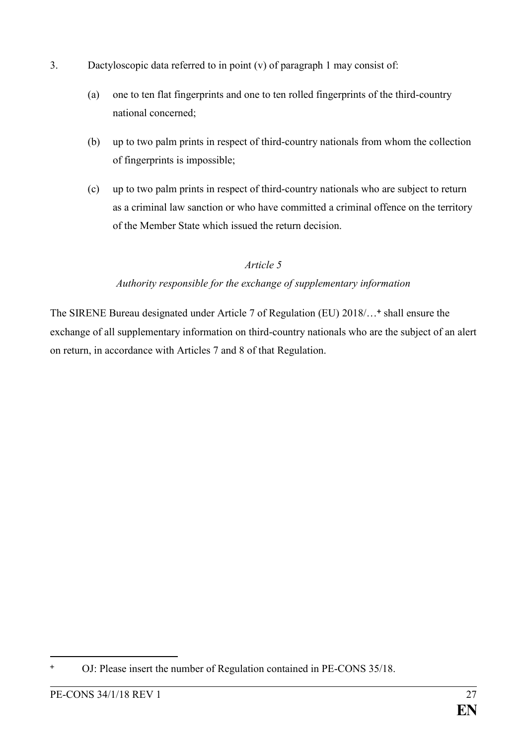- 3. Dactyloscopic data referred to in point (v) of paragraph 1 may consist of:
	- (a) one to ten flat fingerprints and one to ten rolled fingerprints of the third-country national concerned;
	- (b) up to two palm prints in respect of third-country nationals from whom the collection of fingerprints is impossible;
	- (c) up to two palm prints in respect of third-country nationals who are subject to return as a criminal law sanction or who have committed a criminal offence on the territory of the Member State which issued the return decision.

### *Authority responsible for the exchange of supplementary information*

The SIRENE Bureau designated under Article 7 of Regulation (EU) 2018/...<sup>+</sup> shall ensure the exchange of all supplementary information on third-country nationals who are the subject of an alert on return, in accordance with Articles 7 and 8 of that Regulation.

<sup>&</sup>lt;u>.</u> OJ: Please insert the number of Regulation contained in PE-CONS 35/18.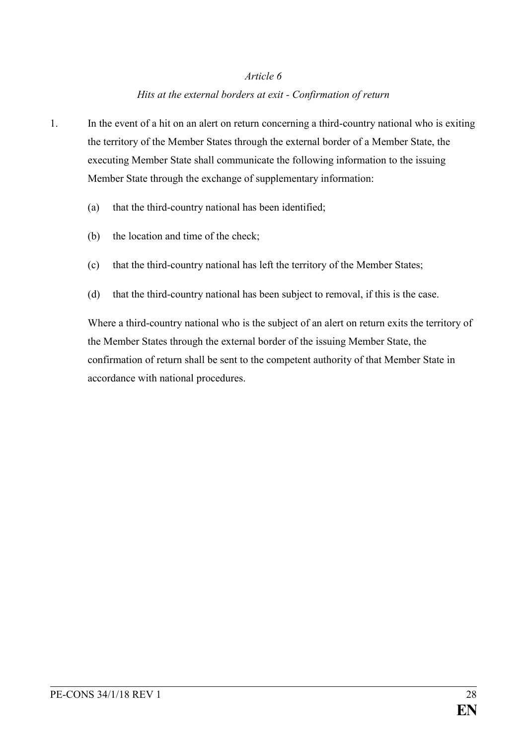#### *Hits at the external borders at exit - Confirmation of return*

- 1. In the event of a hit on an alert on return concerning a third-country national who is exiting the territory of the Member States through the external border of a Member State, the executing Member State shall communicate the following information to the issuing Member State through the exchange of supplementary information:
	- (a) that the third-country national has been identified;
	- (b) the location and time of the check;
	- (c) that the third-country national has left the territory of the Member States;
	- (d) that the third-country national has been subject to removal, if this is the case.

Where a third-country national who is the subject of an alert on return exits the territory of the Member States through the external border of the issuing Member State, the confirmation of return shall be sent to the competent authority of that Member State in accordance with national procedures.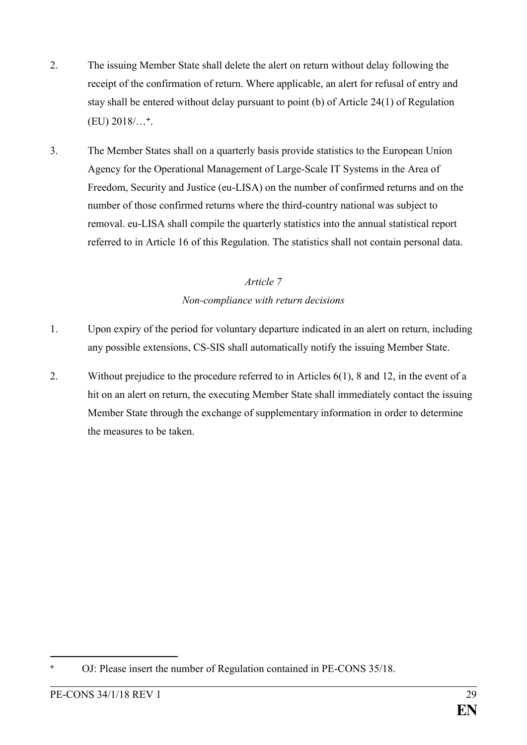- 2. The issuing Member State shall delete the alert on return without delay following the receipt of the confirmation of return. Where applicable, an alert for refusal of entry and stay shall be entered without delay pursuant to point (b) of Article 24(1) of Regulation  $(EU)$  2018/ $\dots$ <sup>+</sup>.
- 3. The Member States shall on a quarterly basis provide statistics to the European Union Agency for the Operational Management of Large-Scale IT Systems in the Area of Freedom, Security and Justice (eu-LISA) on the number of confirmed returns and on the number of those confirmed returns where the third-country national was subject to removal. eu-LISA shall compile the quarterly statistics into the annual statistical report referred to in Article 16 of this Regulation. The statistics shall not contain personal data.

# *Article 7 Non-compliance with return decisions*

- 1. Upon expiry of the period for voluntary departure indicated in an alert on return, including any possible extensions, CS-SIS shall automatically notify the issuing Member State.
- 2. Without prejudice to the procedure referred to in Articles 6(1), 8 and 12, in the event of a hit on an alert on return, the executing Member State shall immediately contact the issuing Member State through the exchange of supplementary information in order to determine the measures to be taken.

<sup>&</sup>lt;u>.</u> OJ: Please insert the number of Regulation contained in PE-CONS 35/18.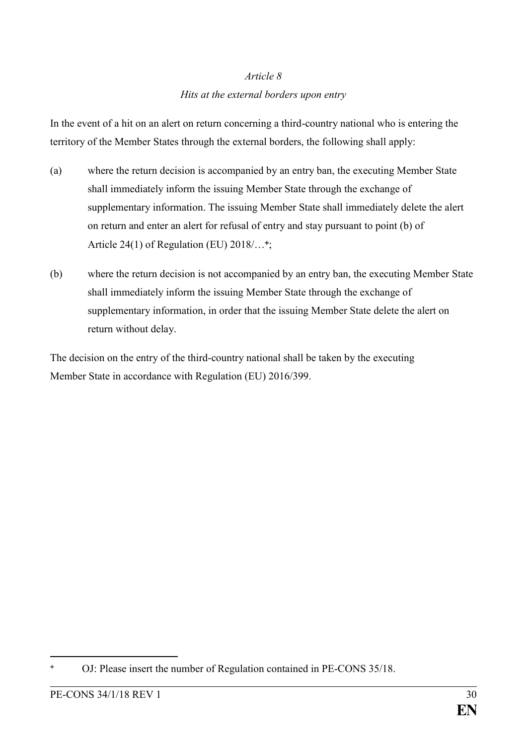#### *Hits at the external borders upon entry*

In the event of a hit on an alert on return concerning a third-country national who is entering the territory of the Member States through the external borders, the following shall apply:

- (a) where the return decision is accompanied by an entry ban, the executing Member State shall immediately inform the issuing Member State through the exchange of supplementary information. The issuing Member State shall immediately delete the alert on return and enter an alert for refusal of entry and stay pursuant to point (b) of Article 24(1) of Regulation (EU) 2018/...<sup>+</sup>;
- (b) where the return decision is not accompanied by an entry ban, the executing Member State shall immediately inform the issuing Member State through the exchange of supplementary information, in order that the issuing Member State delete the alert on return without delay.

The decision on the entry of the third-country national shall be taken by the executing Member State in accordance with Regulation (EU) 2016/399.

OJ: Please insert the number of Regulation contained in PE-CONS 35/18.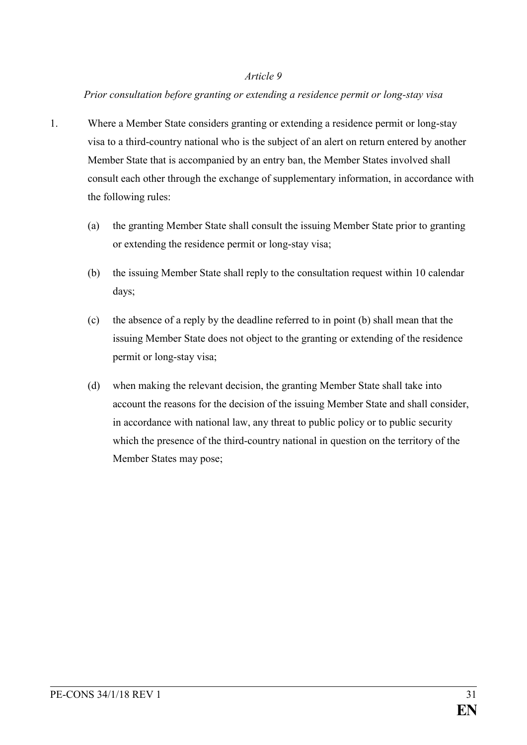#### *Prior consultation before granting or extending a residence permit or long-stay visa*

- 1. Where a Member State considers granting or extending a residence permit or long-stay visa to a third-country national who is the subject of an alert on return entered by another Member State that is accompanied by an entry ban, the Member States involved shall consult each other through the exchange of supplementary information, in accordance with the following rules:
	- (a) the granting Member State shall consult the issuing Member State prior to granting or extending the residence permit or long-stay visa;
	- (b) the issuing Member State shall reply to the consultation request within 10 calendar days;
	- (c) the absence of a reply by the deadline referred to in point (b) shall mean that the issuing Member State does not object to the granting or extending of the residence permit or long-stay visa;
	- (d) when making the relevant decision, the granting Member State shall take into account the reasons for the decision of the issuing Member State and shall consider, in accordance with national law, any threat to public policy or to public security which the presence of the third-country national in question on the territory of the Member States may pose;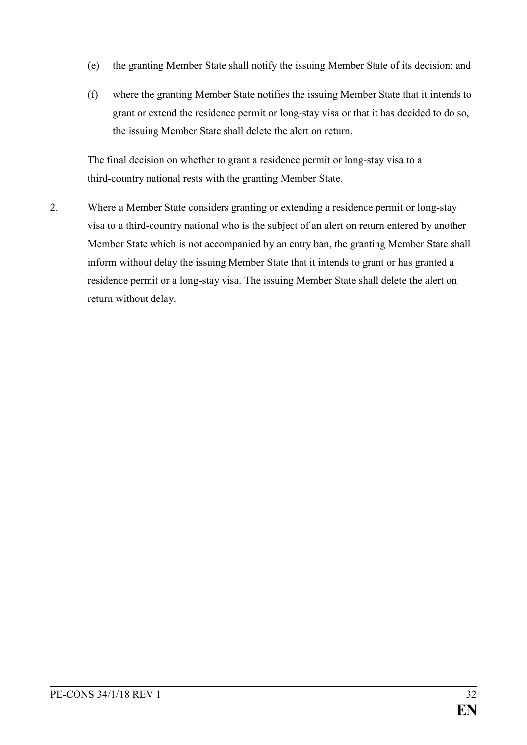- (e) the granting Member State shall notify the issuing Member State of its decision; and
- (f) where the granting Member State notifies the issuing Member State that it intends to grant or extend the residence permit or long-stay visa or that it has decided to do so, the issuing Member State shall delete the alert on return.

The final decision on whether to grant a residence permit or long-stay visa to a third-country national rests with the granting Member State.

2. Where a Member State considers granting or extending a residence permit or long-stay visa to a third-country national who is the subject of an alert on return entered by another Member State which is not accompanied by an entry ban, the granting Member State shall inform without delay the issuing Member State that it intends to grant or has granted a residence permit or a long-stay visa. The issuing Member State shall delete the alert on return without delay.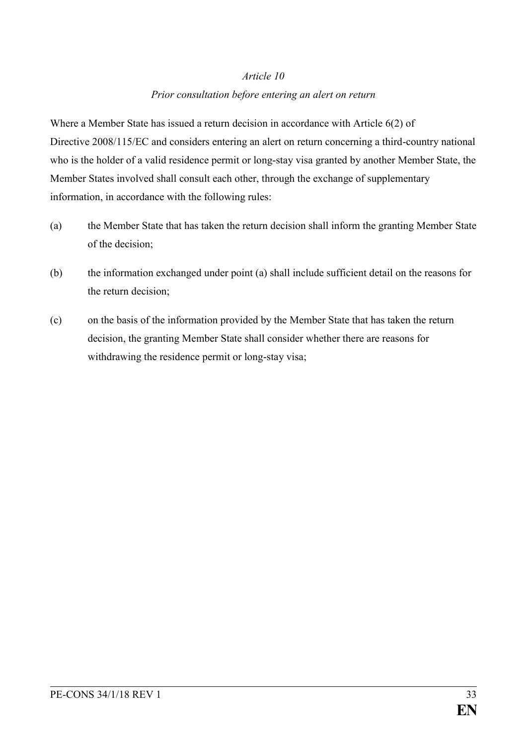#### *Prior consultation before entering an alert on return*

Where a Member State has issued a return decision in accordance with Article 6(2) of Directive 2008/115/EC and considers entering an alert on return concerning a third-country national who is the holder of a valid residence permit or long-stay visa granted by another Member State, the Member States involved shall consult each other, through the exchange of supplementary information, in accordance with the following rules:

- (a) the Member State that has taken the return decision shall inform the granting Member State of the decision;
- (b) the information exchanged under point (a) shall include sufficient detail on the reasons for the return decision;
- (c) on the basis of the information provided by the Member State that has taken the return decision, the granting Member State shall consider whether there are reasons for withdrawing the residence permit or long-stay visa;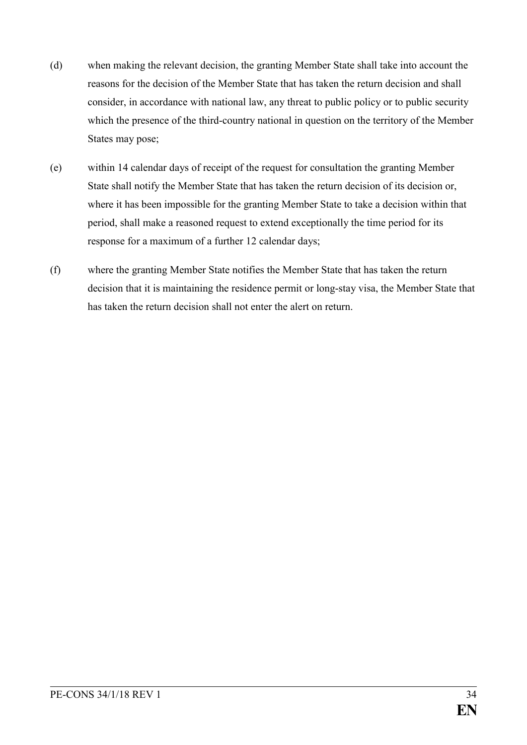- (d) when making the relevant decision, the granting Member State shall take into account the reasons for the decision of the Member State that has taken the return decision and shall consider, in accordance with national law, any threat to public policy or to public security which the presence of the third-country national in question on the territory of the Member States may pose;
- (e) within 14 calendar days of receipt of the request for consultation the granting Member State shall notify the Member State that has taken the return decision of its decision or, where it has been impossible for the granting Member State to take a decision within that period, shall make a reasoned request to extend exceptionally the time period for its response for a maximum of a further 12 calendar days;
- (f) where the granting Member State notifies the Member State that has taken the return decision that it is maintaining the residence permit or long-stay visa, the Member State that has taken the return decision shall not enter the alert on return.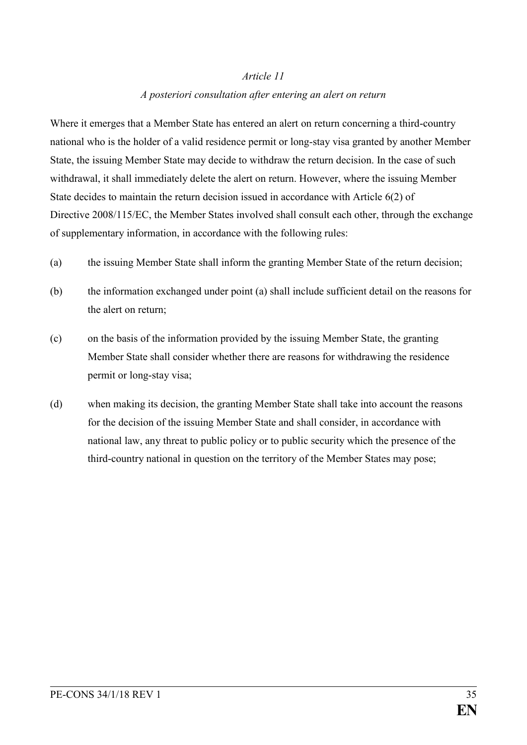#### *A posteriori consultation after entering an alert on return*

Where it emerges that a Member State has entered an alert on return concerning a third-country national who is the holder of a valid residence permit or long-stay visa granted by another Member State, the issuing Member State may decide to withdraw the return decision. In the case of such withdrawal, it shall immediately delete the alert on return. However, where the issuing Member State decides to maintain the return decision issued in accordance with Article 6(2) of Directive 2008/115/EC, the Member States involved shall consult each other, through the exchange of supplementary information, in accordance with the following rules:

- (a) the issuing Member State shall inform the granting Member State of the return decision;
- (b) the information exchanged under point (a) shall include sufficient detail on the reasons for the alert on return;
- (c) on the basis of the information provided by the issuing Member State, the granting Member State shall consider whether there are reasons for withdrawing the residence permit or long-stay visa;
- (d) when making its decision, the granting Member State shall take into account the reasons for the decision of the issuing Member State and shall consider, in accordance with national law, any threat to public policy or to public security which the presence of the third-country national in question on the territory of the Member States may pose;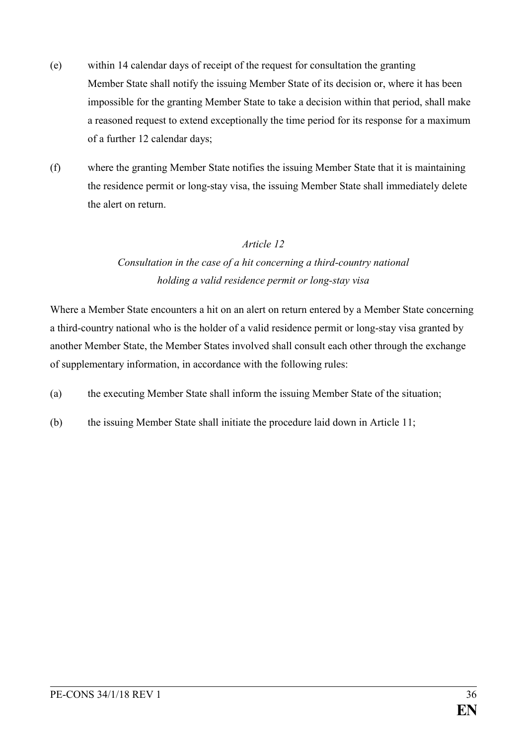- (e) within 14 calendar days of receipt of the request for consultation the granting Member State shall notify the issuing Member State of its decision or, where it has been impossible for the granting Member State to take a decision within that period, shall make a reasoned request to extend exceptionally the time period for its response for a maximum of a further 12 calendar days;
- (f) where the granting Member State notifies the issuing Member State that it is maintaining the residence permit or long-stay visa, the issuing Member State shall immediately delete the alert on return.

# *Consultation in the case of a hit concerning a third-country national holding a valid residence permit or long-stay visa*

Where a Member State encounters a hit on an alert on return entered by a Member State concerning a third-country national who is the holder of a valid residence permit or long-stay visa granted by another Member State, the Member States involved shall consult each other through the exchange of supplementary information, in accordance with the following rules:

- (a) the executing Member State shall inform the issuing Member State of the situation;
- (b) the issuing Member State shall initiate the procedure laid down in Article 11;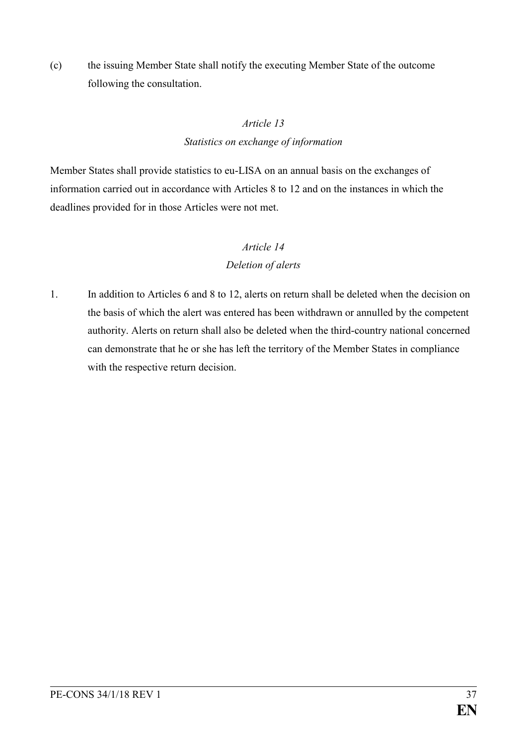(c) the issuing Member State shall notify the executing Member State of the outcome following the consultation.

#### *Article 13*

#### *Statistics on exchange of information*

Member States shall provide statistics to eu-LISA on an annual basis on the exchanges of information carried out in accordance with Articles 8 to 12 and on the instances in which the deadlines provided for in those Articles were not met.

# *Article 14*

## *Deletion of alerts*

1. In addition to Articles 6 and 8 to 12, alerts on return shall be deleted when the decision on the basis of which the alert was entered has been withdrawn or annulled by the competent authority. Alerts on return shall also be deleted when the third-country national concerned can demonstrate that he or she has left the territory of the Member States in compliance with the respective return decision.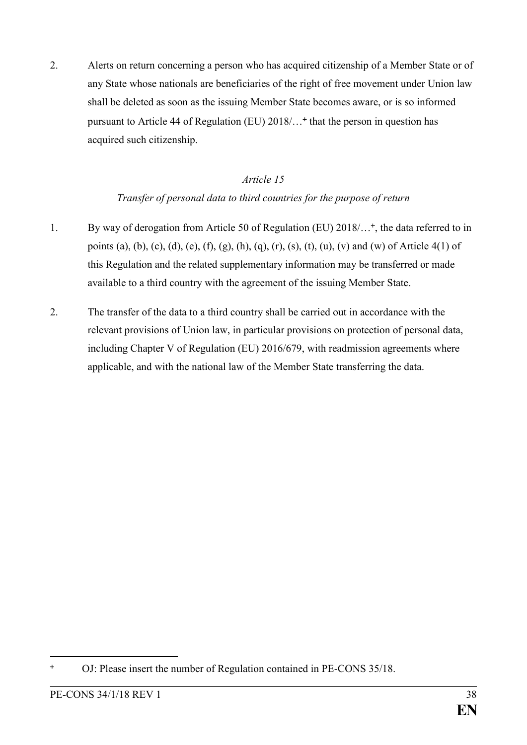2. Alerts on return concerning a person who has acquired citizenship of a Member State or of any State whose nationals are beneficiaries of the right of free movement under Union law shall be deleted as soon as the issuing Member State becomes aware, or is so informed pursuant to Article 44 of Regulation (EU) 2018/… that the person in question has acquired such citizenship.

#### *Article 15*

### *Transfer of personal data to third countries for the purpose of return*

- 1. By way of derogation from Article 50 of Regulation (EU) 2018/...<sup>+</sup>, the data referred to in points (a), (b), (c), (d), (e), (f), (g), (h), (q), (r), (s), (t), (u), (v) and (w) of Article 4(1) of this Regulation and the related supplementary information may be transferred or made available to a third country with the agreement of the issuing Member State.
- 2. The transfer of the data to a third country shall be carried out in accordance with the relevant provisions of Union law, in particular provisions on protection of personal data, including Chapter V of Regulation (EU) 2016/679, with readmission agreements where applicable, and with the national law of the Member State transferring the data.

OJ: Please insert the number of Regulation contained in PE-CONS 35/18.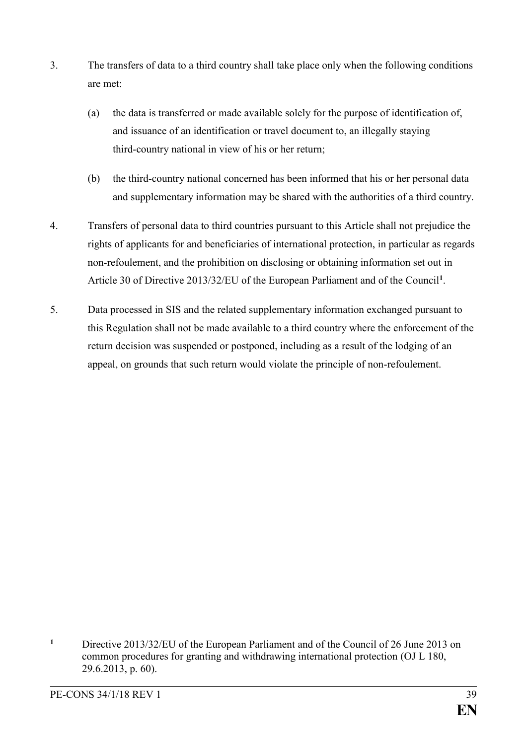- 3. The transfers of data to a third country shall take place only when the following conditions are met:
	- (a) the data is transferred or made available solely for the purpose of identification of, and issuance of an identification or travel document to, an illegally staying third-country national in view of his or her return;
	- (b) the third-country national concerned has been informed that his or her personal data and supplementary information may be shared with the authorities of a third country.
- 4. Transfers of personal data to third countries pursuant to this Article shall not prejudice the rights of applicants for and beneficiaries of international protection, in particular as regards non-refoulement, and the prohibition on disclosing or obtaining information set out in Article 30 of Directive 2013/32/EU of the European Parliament and of the Council**<sup>1</sup>** .
- 5. Data processed in SIS and the related supplementary information exchanged pursuant to this Regulation shall not be made available to a third country where the enforcement of the return decision was suspended or postponed, including as a result of the lodging of an appeal, on grounds that such return would violate the principle of non-refoulement.

<sup>&</sup>lt;u>.</u> **<sup>1</sup>** Directive 2013/32/EU of the European Parliament and of the Council of 26 June 2013 on common procedures for granting and withdrawing international protection (OJ L 180, 29.6.2013, p. 60).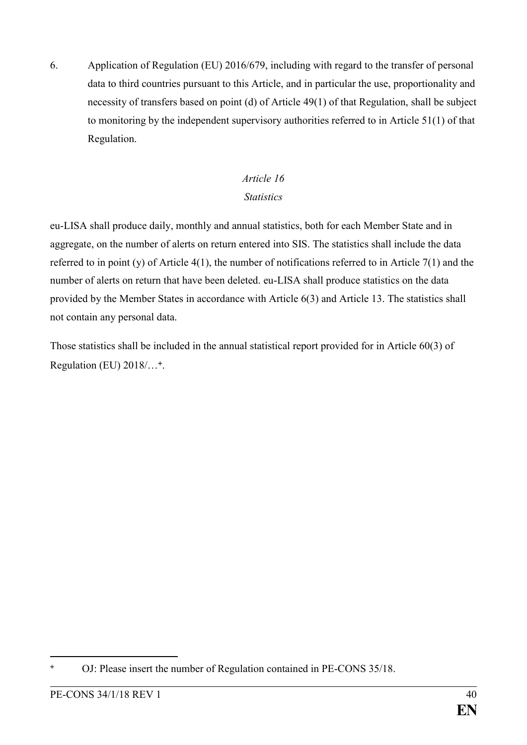6. Application of Regulation (EU) 2016/679, including with regard to the transfer of personal data to third countries pursuant to this Article, and in particular the use, proportionality and necessity of transfers based on point (d) of Article 49(1) of that Regulation, shall be subject to monitoring by the independent supervisory authorities referred to in Article 51(1) of that Regulation.

#### *Article 16 Statistics*

eu-LISA shall produce daily, monthly and annual statistics, both for each Member State and in aggregate, on the number of alerts on return entered into SIS. The statistics shall include the data referred to in point (y) of Article 4(1), the number of notifications referred to in Article 7(1) and the number of alerts on return that have been deleted. eu-LISA shall produce statistics on the data provided by the Member States in accordance with Article 6(3) and Article 13. The statistics shall not contain any personal data.

Those statistics shall be included in the annual statistical report provided for in Article 60(3) of Regulation (EU) 2018/...<sup>+</sup>.

<sup>&</sup>lt;u>.</u> OJ: Please insert the number of Regulation contained in PE-CONS 35/18.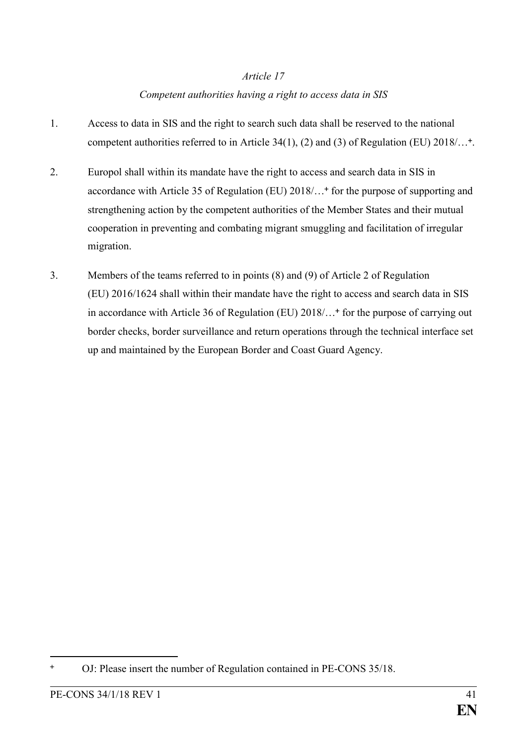#### *Competent authorities having a right to access data in SIS*

- 1. Access to data in SIS and the right to search such data shall be reserved to the national competent authorities referred to in Article 34(1), (2) and (3) of Regulation (EU) 2018/...<sup>+</sup>.
- 2. Europol shall within its mandate have the right to access and search data in SIS in accordance with Article 35 of Regulation (EU) 2018/...<sup>+</sup> for the purpose of supporting and strengthening action by the competent authorities of the Member States and their mutual cooperation in preventing and combating migrant smuggling and facilitation of irregular migration.
- 3. Members of the teams referred to in points (8) and (9) of Article 2 of Regulation (EU) 2016/1624 shall within their mandate have the right to access and search data in SIS in accordance with Article 36 of Regulation (EU) 2018/...<sup>+</sup> for the purpose of carrying out border checks, border surveillance and return operations through the technical interface set up and maintained by the European Border and Coast Guard Agency.

OJ: Please insert the number of Regulation contained in PE-CONS 35/18.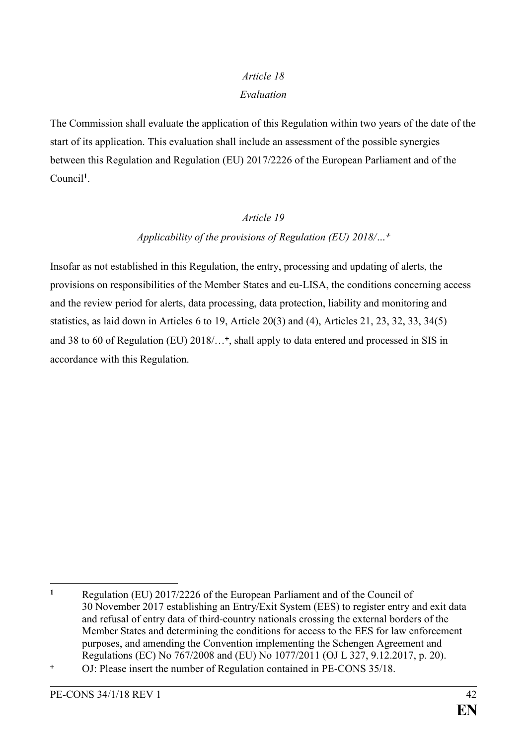#### *Article 18 Evaluation*

The Commission shall evaluate the application of this Regulation within two years of the date of the start of its application. This evaluation shall include an assessment of the possible synergies between this Regulation and Regulation (EU) 2017/2226 of the European Parliament and of the Council**<sup>1</sup>** .

#### *Article 19*

#### *Applicability of the provisions of Regulation (EU) 2018/…*

Insofar as not established in this Regulation, the entry, processing and updating of alerts, the provisions on responsibilities of the Member States and eu-LISA, the conditions concerning access and the review period for alerts, data processing, data protection, liability and monitoring and statistics, as laid down in Articles 6 to 19, Article 20(3) and (4), Articles 21, 23, 32, 33, 34(5) and 38 to 60 of Regulation (EU) 2018/… , shall apply to data entered and processed in SIS in accordance with this Regulation.

<sup>1</sup> **<sup>1</sup>** Regulation (EU) 2017/2226 of the European Parliament and of the Council of 30 November 2017 establishing an Entry/Exit System (EES) to register entry and exit data and refusal of entry data of third-country nationals crossing the external borders of the Member States and determining the conditions for access to the EES for law enforcement purposes, and amending the Convention implementing the Schengen Agreement and Regulations (EC) No 767/2008 and (EU) No 1077/2011 (OJ L 327, 9.12.2017, p. 20).

OJ: Please insert the number of Regulation contained in PE-CONS 35/18.